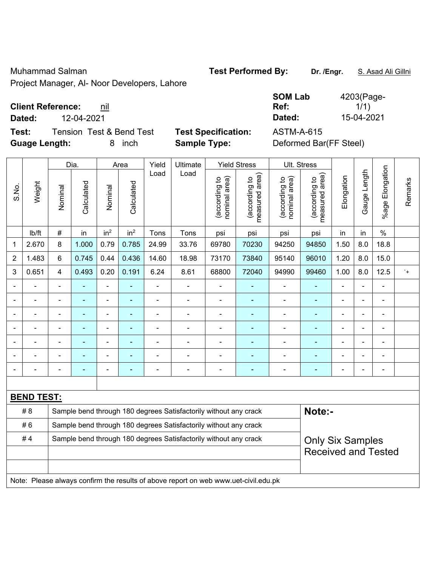Muhammad Salman **Test Performed By:** Dr. /Engr. **S. Asad Ali Gillni** 

Project Manager, Al- Noor Developers, Lahore

## **Client Reference: nil**

**Dated:** 12-04-2021 **Dated:** 15-04-2021

**Test:** Tension Test & Bend Test **Test Specification:** ASTM-A-615 **Guage Length:** 8 inch **Sample Type:** Deformed Bar(FF Steel)

| 4203(Page- |
|------------|
| 1/1)       |
| 15-04-2021 |
|            |

|                                                                        |                   |         | Dia.                     |                 | Area            | Yield          | Ultimate                                                                            |                                | <b>Yield Stress</b>             |                                | Ult. Stress                     |                |                |                          |           |
|------------------------------------------------------------------------|-------------------|---------|--------------------------|-----------------|-----------------|----------------|-------------------------------------------------------------------------------------|--------------------------------|---------------------------------|--------------------------------|---------------------------------|----------------|----------------|--------------------------|-----------|
| S.No.                                                                  | Weight            | Nominal | Calculated               | Nominal         | Calculated      | Load           | Load                                                                                | nominal area)<br>(according to | measured area)<br>(according to | (according to<br>nominal area) | (according to<br>measured area) | Elongation     | Gauge Length   | Elongation<br>$%$ age    | Remarks   |
|                                                                        | lb/ft             | $\#$    | in                       | in <sup>2</sup> | in <sup>2</sup> | Tons           | Tons                                                                                | psi                            | psi                             | psi                            | psi                             | in             | in             | $\%$                     |           |
| 1                                                                      | 2.670             | 8       | 1.000                    | 0.79            | 0.785           | 24.99          | 33.76                                                                               | 69780                          | 70230                           | 94250                          | 94850                           | 1.50           | 8.0            | 18.8                     |           |
| $\overline{2}$                                                         | 1.483             | 6       | 0.745                    | 0.44            | 0.436           | 14.60          | 18.98                                                                               | 73170                          | 73840                           | 95140                          | 96010                           | 1.20           | 8.0            | 15.0                     |           |
| $\mathbf{3}$                                                           | 0.651             | 4       | 0.493                    | 0.20            | 0.191           | 6.24           | 8.61                                                                                | 68800                          | 72040                           | 94990                          | 99460                           | 1.00           | 8.0            | 12.5                     | $\cdot$ + |
|                                                                        |                   |         |                          |                 |                 |                | $\blacksquare$                                                                      |                                |                                 |                                |                                 |                |                |                          |           |
|                                                                        |                   |         |                          |                 |                 |                |                                                                                     |                                |                                 |                                |                                 |                |                |                          |           |
|                                                                        |                   | ä,      | $\blacksquare$           | $\blacksquare$  |                 |                |                                                                                     | $\blacksquare$                 | ۰                               | $\blacksquare$                 | ÷                               | $\blacksquare$ | $\blacksquare$ | $\blacksquare$           |           |
|                                                                        | $\blacksquare$    | -       | $\overline{\phantom{0}}$ | $\blacksquare$  | ۰               | $\blacksquare$ | $\overline{a}$                                                                      | $\overline{\phantom{0}}$       | ٠                               | $\blacksquare$                 | $\blacksquare$                  | $\blacksquare$ |                | $\overline{\phantom{0}}$ |           |
|                                                                        | $\blacksquare$    | ä,      | $\blacksquare$           | $\blacksquare$  | ۰               |                | $\blacksquare$                                                                      | $\blacksquare$                 |                                 | ۳                              | $\blacksquare$                  | $\blacksquare$ |                | $\overline{\phantom{a}}$ |           |
|                                                                        |                   |         |                          |                 |                 |                |                                                                                     | $\blacksquare$                 |                                 | $\blacksquare$                 | L,                              |                |                |                          |           |
|                                                                        |                   |         |                          |                 |                 |                |                                                                                     | $\overline{\phantom{a}}$       |                                 | $\overline{\phantom{0}}$       |                                 |                |                |                          |           |
|                                                                        |                   |         |                          |                 |                 |                |                                                                                     |                                |                                 |                                |                                 |                |                |                          |           |
|                                                                        | <b>BEND TEST:</b> |         |                          |                 |                 |                |                                                                                     |                                |                                 |                                |                                 |                |                |                          |           |
|                                                                        | #8                |         |                          |                 |                 |                | Sample bend through 180 degrees Satisfactorily without any crack                    |                                |                                 |                                | Note:-                          |                |                |                          |           |
|                                                                        | #6                |         |                          |                 |                 |                | Sample bend through 180 degrees Satisfactorily without any crack                    |                                |                                 |                                |                                 |                |                |                          |           |
| Sample bend through 180 degrees Satisfactorily without any crack<br>#4 |                   |         |                          |                 |                 |                |                                                                                     |                                |                                 | <b>Only Six Samples</b>        |                                 |                |                |                          |           |
|                                                                        |                   |         |                          |                 |                 |                |                                                                                     |                                |                                 | <b>Received and Tested</b>     |                                 |                |                |                          |           |
|                                                                        |                   |         |                          |                 |                 |                |                                                                                     |                                |                                 |                                |                                 |                |                |                          |           |
|                                                                        |                   |         |                          |                 |                 |                | Note: Please always confirm the results of above report on web www.uet-civil.edu.pk |                                |                                 |                                |                                 |                |                |                          |           |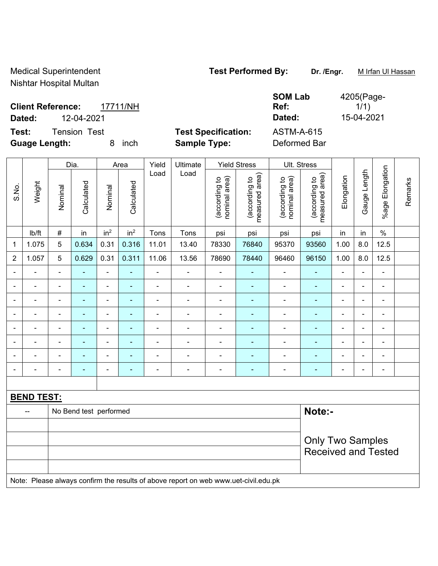Medical Superintendent **Test Performed By:** Dr. /Engr. **Multiplant Multiplan Action** 

Nishtar Hospital Multan

|                          |              |          |                            | <b>SOM Lab</b>    | 4205(Page- |
|--------------------------|--------------|----------|----------------------------|-------------------|------------|
| <b>Client Reference:</b> |              | 17711/NH |                            | Ref:              | 1/1)       |
| Dated:                   | 12-04-2021   |          |                            | Dated:            | 15-04-2021 |
| Test:                    | Tension Test |          | <b>Test Specification:</b> | <b>ASTM-A-615</b> |            |
| <b>Guage Length:</b>     |              | inch     | <b>Sample Type:</b>        | Deformed Bar      |            |

|                |                   |                          | Dia.                   |                                                       | Area            | Yield          | Ultimate                 |                                | <b>Yield Stress</b>             |                                | Ult. Stress                     |                |                          |                       |         |
|----------------|-------------------|--------------------------|------------------------|-------------------------------------------------------|-----------------|----------------|--------------------------|--------------------------------|---------------------------------|--------------------------------|---------------------------------|----------------|--------------------------|-----------------------|---------|
| S.No.          | Weight            | Nominal                  | Calculated             | Nominal                                               | Calculated      | Load           | Load                     | nominal area)<br>(according to | measured area)<br>(according to | (according to<br>nominal area) | measured area)<br>(according to | Elongation     | Gauge Length             | Elongation<br>$%$ age | Remarks |
|                | Ib/ft             | $\#$                     | in                     | in <sup>2</sup>                                       | in <sup>2</sup> | Tons           | Tons                     | psi                            | psi                             | psi                            | psi                             | in             | in                       | $\frac{0}{0}$         |         |
| 1              | 1.075             | $\overline{5}$           | 0.634                  | 0.31                                                  | 0.316           | 11.01          | 13.40                    | 78330                          | 76840                           | 95370                          | 93560                           | 1.00           | 8.0                      | 12.5                  |         |
| $\overline{2}$ | 1.057             | 5                        | 0.629                  | 0.31                                                  | 0.311           | 11.06          | 13.56                    | 78690                          | 78440                           | 96460                          | 96150                           | 1.00           | 8.0                      | 12.5                  |         |
|                |                   | $\overline{\phantom{0}}$ | $\blacksquare$         | $\blacksquare$                                        |                 | $\blacksquare$ | $\blacksquare$           | $\blacksquare$                 | ÷                               | $\blacksquare$                 | $\blacksquare$                  | $\blacksquare$ |                          | $\blacksquare$        |         |
| $\blacksquare$ | $\blacksquare$    | $\blacksquare$           | $\blacksquare$         | $\overline{\phantom{0}}$                              | $\blacksquare$  | ÷              | $\overline{\phantom{a}}$ | $\frac{1}{2}$                  | $\blacksquare$                  | $\blacksquare$                 | $\blacksquare$                  | -              | $\blacksquare$           | $\blacksquare$        |         |
|                |                   |                          |                        | ۰                                                     | ۰               | $\blacksquare$ | ٠                        | $\blacksquare$                 |                                 | $\overline{\phantom{a}}$       | $\blacksquare$                  | ÷              |                          | $\blacksquare$        |         |
|                |                   | $\blacksquare$           |                        | ÷                                                     | ۰               | $\blacksquare$ | ٠                        | -                              |                                 | $\overline{\phantom{0}}$       | $\blacksquare$                  | $\blacksquare$ | $\blacksquare$           | $\blacksquare$        |         |
|                | ۰                 | $\overline{\phantom{0}}$ | $\blacksquare$         | ä,                                                    | $\blacksquare$  | $\blacksquare$ | $\blacksquare$           | $\blacksquare$                 | $\overline{\phantom{0}}$        | $\blacksquare$                 | $\blacksquare$                  | $\blacksquare$ | $\overline{\phantom{0}}$ | $\blacksquare$        |         |
|                |                   | $\overline{\phantom{0}}$ |                        | $\overline{a}$                                        | $\blacksquare$  | $\blacksquare$ | ٠                        | $\overline{a}$                 | ۰                               | $\overline{\phantom{a}}$       | $\blacksquare$                  | $\blacksquare$ | $\blacksquare$           | $\overline{a}$        |         |
|                |                   |                          |                        | ۰                                                     |                 | $\blacksquare$ |                          | $\blacksquare$                 |                                 |                                |                                 | -              |                          | $\overline{a}$        |         |
|                |                   |                          |                        | -                                                     |                 |                |                          | $\overline{a}$                 |                                 | $\overline{\phantom{a}}$       |                                 |                |                          | $\blacksquare$        |         |
|                |                   |                          |                        |                                                       |                 |                |                          |                                |                                 |                                |                                 |                |                          |                       |         |
|                | <b>BEND TEST:</b> |                          |                        |                                                       |                 |                |                          |                                |                                 |                                |                                 |                |                          |                       |         |
|                | --                |                          | No Bend test performed |                                                       |                 |                |                          |                                |                                 |                                | Note:-                          |                |                          |                       |         |
|                |                   |                          |                        |                                                       |                 |                |                          |                                |                                 |                                |                                 |                |                          |                       |         |
|                |                   |                          |                        | <b>Only Two Samples</b><br><b>Received and Tested</b> |                 |                |                          |                                |                                 |                                |                                 |                |                          |                       |         |

Note: Please always confirm the results of above report on web www.uet-civil.edu.pk

4205(Page-